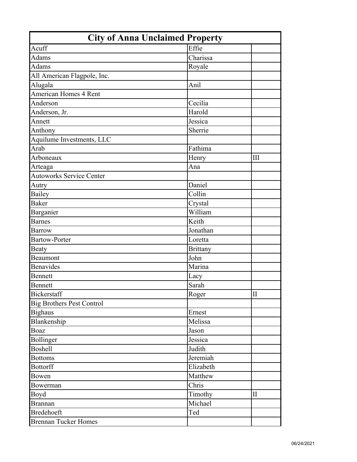| <b>City of Anna Unclaimed Property</b> |                 |                     |
|----------------------------------------|-----------------|---------------------|
| Acuff                                  | Effie           |                     |
| <b>Adams</b>                           | Charissa        |                     |
| <b>Adams</b>                           | Royale          |                     |
| All American Flagpole, Inc.            |                 |                     |
| Alugala                                | Anil            |                     |
| <b>American Homes 4 Rent</b>           |                 |                     |
| Anderson                               | Cecilia         |                     |
| Anderson, Jr.                          | Harold          |                     |
| Annett                                 | Jessica         |                     |
| Anthony                                | Sherrie         |                     |
| Aquilume Investments, LLC              |                 |                     |
| Arab                                   | Fathima         |                     |
| Arboneaux                              | Henry           | III                 |
| Arteaga                                | Ana             |                     |
| <b>Autoworks Service Center</b>        |                 |                     |
| Autry                                  | Daniel          |                     |
| <b>Bailey</b>                          | Collin          |                     |
| <b>Baker</b>                           | Crystal         |                     |
| Barganier                              | William         |                     |
| <b>Barnes</b>                          | Keith           |                     |
| <b>Barrow</b>                          | Jonathan        |                     |
| <b>Bartow-Porter</b>                   | Loretta         |                     |
| Beaty                                  | <b>Brittany</b> |                     |
| Beaumont                               | John            |                     |
| <b>Benavides</b>                       | Marina          |                     |
| Bennett                                | Lacy            |                     |
| Bennett                                | Sarah           |                     |
| Bickerstaff                            | Roger           | $\overline{\rm II}$ |
| <b>Big Brothers Pest Control</b>       |                 |                     |
| <b>Bighaus</b>                         | Ernest          |                     |
| Blankenship                            | Melissa         |                     |
| Boaz                                   | Jason           |                     |
| Bollinger                              | Jessica         |                     |
| <b>Boshell</b>                         | Judith          |                     |
| <b>Bottoms</b>                         | Jeremiah        |                     |
| <b>Bottorff</b>                        | Elizabeth       |                     |
| Bowen                                  | Matthew         |                     |
| Bowerman                               | Chris           |                     |
| Boyd                                   | Timothy         | $\mathbf{I}$        |
| <b>Brannan</b>                         | Michael         |                     |
| <b>Bredehoeft</b>                      | Ted             |                     |
| <b>Brennan Tucker Homes</b>            |                 |                     |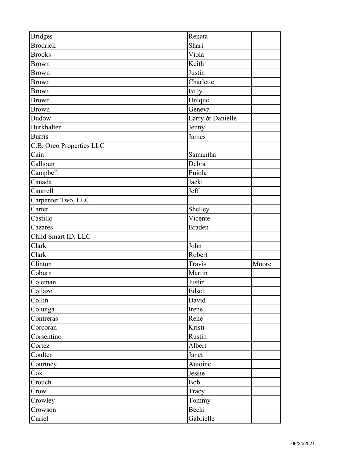| <b>Bridges</b>           | Renata           |       |
|--------------------------|------------------|-------|
| <b>Brodrick</b>          | Shari            |       |
| <b>Brooks</b>            | Viola            |       |
| <b>Brown</b>             | Keith            |       |
| <b>Brown</b>             | Justin           |       |
| <b>Brown</b>             | Charlette        |       |
| <b>Brown</b>             | <b>Billy</b>     |       |
| <b>Brown</b>             | Unique           |       |
| <b>Brown</b>             | Geneva           |       |
| <b>Budow</b>             | Larry & Danielle |       |
| <b>Burkhalter</b>        | Jenny            |       |
| <b>Burris</b>            | James            |       |
| C.B. Oreo Properties LLC |                  |       |
| Cain                     | Samantha         |       |
| Calhoun                  | Debra            |       |
| Campbell                 | Eniola           |       |
| Canada                   | Jacki            |       |
| Cantrell                 | Jeff             |       |
| Carpenter Two, LLC       |                  |       |
| Carter                   | Shelley          |       |
| Castillo                 | Vicente          |       |
| Cazares                  | <b>Braden</b>    |       |
| Child Smart ID, LLC      |                  |       |
| Clark                    | John             |       |
| Clark                    | Robert           |       |
| Clinton                  | Travis           | Moore |
| Coburn                   | Martin           |       |
| Coleman                  | Justin           |       |
| Collazo                  | Edsel            |       |
| Collin                   | David            |       |
| Colunga                  | Irene            |       |
| Contreras                | Rene             |       |
| Corcoran                 | Kristi           |       |
| Corsentino               | Rustin           |       |
| Cortez                   | Albert           |       |
| Coulter                  | Janet            |       |
| Courtney                 | Antoine          |       |
| $\cos$                   | Jessie           |       |
| Crouch                   | Bob              |       |
| Crow                     | Tracy            |       |
| Crowley                  | Tommy            |       |
| Crowson                  | Becki            |       |
| Curiel                   | Gabrielle        |       |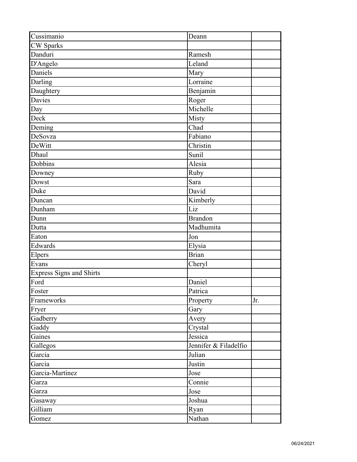| Cussimanio                      | Deann                      |     |
|---------------------------------|----------------------------|-----|
| <b>CW</b> Sparks                |                            |     |
| Danduri                         | Ramesh                     |     |
| D'Angelo                        | Leland                     |     |
| Daniels                         | Mary                       |     |
| Darling                         | Lorraine                   |     |
| Daughtery                       | Benjamin                   |     |
| <b>Davies</b>                   | Roger                      |     |
| Day                             | Michelle                   |     |
| Deck                            | Misty                      |     |
| Deming                          | Chad                       |     |
| DeSovza                         | Fabiano                    |     |
| DeWitt                          | Christin                   |     |
| Dhaul                           | Sunil                      |     |
| Dobbins                         | Alesia                     |     |
| Downey                          | Ruby                       |     |
| Dowst                           | Sara                       |     |
| Duke                            | David                      |     |
| Duncan                          | Kimberly                   |     |
| Dunham                          | Liz                        |     |
| Dunn                            | <b>Brandon</b>             |     |
| Dutta                           | Madhumita                  |     |
| Eaton                           | Jon                        |     |
| Edwards                         | Elysia                     |     |
| Elpers                          | <b>Brian</b>               |     |
| Evans                           | Cheryl                     |     |
| <b>Express Signs and Shirts</b> |                            |     |
| Ford                            | Daniel                     |     |
| Foster                          | Patrica                    |     |
| Frameworks                      | Property                   | Jr. |
| Fryer                           | Gary                       |     |
| Gadberry                        | Avery                      |     |
| Gaddy                           | Crystal                    |     |
| Gaines                          | Jessica                    |     |
| Gallegos                        | Jennifer & Filadelfio      |     |
| Garcia                          | Julian                     |     |
| Garcia                          | Justin                     |     |
| Garcia-Martinez                 | Jose                       |     |
| Garza                           | $\overline{\text{Connie}}$ |     |
| Garza                           | Jose                       |     |
| Gasaway                         | Joshua                     |     |
| Gilliam                         | Ryan                       |     |
| Gomez                           | Nathan                     |     |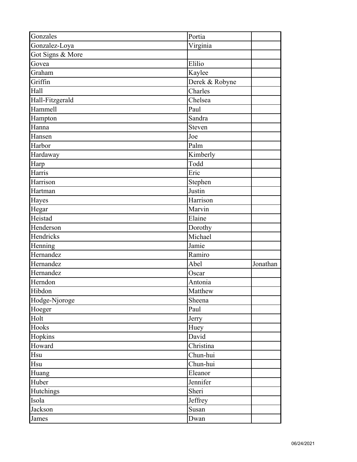| Gonzales         | Portia         |          |
|------------------|----------------|----------|
| Gonzalez-Loya    | Virginia       |          |
| Got Signs & More |                |          |
| Govea            | Elilio         |          |
| Graham           | Kaylee         |          |
| Griffin          | Derek & Robyne |          |
| Hall             | Charles        |          |
| Hall-Fitzgerald  | Chelsea        |          |
| Hammell          | Paul           |          |
| Hampton          | Sandra         |          |
| Hanna            | Steven         |          |
| Hansen           | Joe            |          |
| Harbor           | Palm           |          |
| Hardaway         | Kimberly       |          |
| Harp             | Todd           |          |
| Harris           | Eric           |          |
| Harrison         | Stephen        |          |
| Hartman          | Justin         |          |
| Hayes            | Harrison       |          |
| Hegar            | Marvin         |          |
| Heistad          | Elaine         |          |
| Henderson        | Dorothy        |          |
| Hendricks        | Michael        |          |
| Henning          | Jamie          |          |
| Hernandez        | Ramiro         |          |
| Hernandez        | Abel           | Jonathan |
| Hernandez        | Oscar          |          |
| Herndon          | Antonia        |          |
| Hibdon           | Matthew        |          |
| Hodge-Njoroge    | Sheena         |          |
| Hoeger           | Paul           |          |
| Holt             | Jerry          |          |
| Hooks            | Huey           |          |
| Hopkins          | David          |          |
| Howard           | Christina      |          |
| Hsu              | Chun-hui       |          |
| Hsu              | Chun-hui       |          |
| Huang            | Eleanor        |          |
| Huber            | Jennifer       |          |
| Hutchings        | Sheri          |          |
| Isola            | Jeffrey        |          |
| Jackson          | Susan          |          |
| James            | Dwan           |          |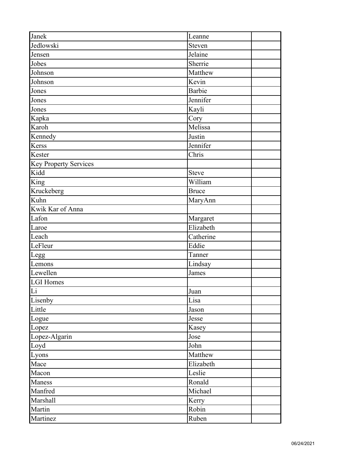| Janek                        | Leanne        |
|------------------------------|---------------|
| Jedlowski                    | Steven        |
| Jensen                       | Jelaine       |
| Jobes                        | Sherrie       |
| Johnson                      | Matthew       |
| Johnson                      | Kevin         |
| Jones                        | <b>Barbie</b> |
| Jones                        | Jennifer      |
| Jones                        | Kayli         |
| Kapka                        | Cory          |
| Karoh                        | Melissa       |
| Kennedy                      | Justin        |
| Kerss                        | Jennifer      |
| Kester                       | Chris         |
| <b>Key Property Services</b> |               |
| Kidd                         | Steve         |
| King                         | William       |
| Kruckeberg                   | <b>Bruce</b>  |
| Kuhn                         | MaryAnn       |
| Kwik Kar of Anna             |               |
| Lafon                        | Margaret      |
| Laroe                        | Elizabeth     |
| Leach                        | Catherine     |
| LeFleur                      | Eddie         |
| Legg                         | Tanner        |
| Lemons                       | Lindsay       |
| Lewellen                     | James         |
| <b>LGI Homes</b>             |               |
| Li                           | Juan          |
| Lisenby                      | Lisa          |
| Little                       | Jason         |
| Logue                        | Jesse         |
| Lopez                        | Kasey         |
| Lopez-Algarin                | Jose          |
| Loyd                         | John          |
| Lyons                        | Matthew       |
| Mace                         | Elizabeth     |
| Macon                        | Leslie        |
| Maness                       | Ronald        |
| Manfred                      | Michael       |
| Marshall                     | Kerry         |
| Martin                       | Robin         |
| Martinez                     | Ruben         |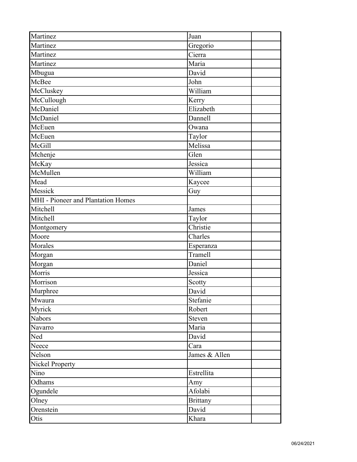| Martinez                           | Juan            |
|------------------------------------|-----------------|
| Martinez                           | Gregorio        |
| Martinez                           | Cierra          |
| Martinez                           | Maria           |
| Mbugua                             | David           |
| McBee                              | John            |
| McCluskey                          | William         |
| McCullough                         | Kerry           |
| McDaniel                           | Elizabeth       |
| McDaniel                           | Dannell         |
| McEuen                             | Owana           |
| McEuen                             | Taylor          |
| McGill                             | Melissa         |
| Mchenje                            | Glen            |
| McKay                              | Jessica         |
| McMullen                           | William         |
| Mead                               | Kaycee          |
| Messick                            | Guy             |
| MHI - Pioneer and Plantation Homes |                 |
| Mitchell                           | James           |
| Mitchell                           | Taylor          |
| Montgomery                         | Christie        |
| Moore                              | Charles         |
| Morales                            | Esperanza       |
| Morgan                             | Tramell         |
| Morgan                             | Daniel          |
| Morris                             | Jessica         |
| Morrison                           | Scotty          |
| Murphree                           | David           |
| Mwaura                             | Stefanie        |
| Myrick                             | Robert          |
| <b>Nabors</b>                      | Steven          |
| Navarro                            | Maria           |
| Ned                                | David           |
| Neece                              | Cara            |
| Nelson                             | James & Allen   |
| <b>Nickel Property</b>             |                 |
| Nino                               | Estrellita      |
| Odhams                             | Amy             |
| Ogundele                           | Afolabi         |
| Olney                              | <b>Brittany</b> |
| Orenstein                          | David           |
| Otis                               | Khara           |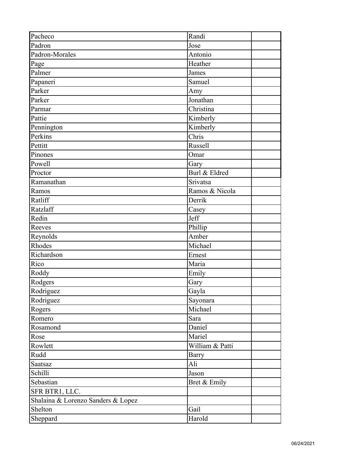| Pacheco                            | Randi           |  |
|------------------------------------|-----------------|--|
| Padron                             | Jose            |  |
| Padron-Morales                     | Antonio         |  |
| Page                               | Heather         |  |
| Palmer                             | James           |  |
| Papaneri                           | Samuel          |  |
| Parker                             | Amy             |  |
| Parker                             | Jonathan        |  |
| Parmar                             | Christina       |  |
| Pattie                             | Kimberly        |  |
| Pennington                         | Kimberly        |  |
| Perkins                            | Chris           |  |
| Pettitt                            | <b>Russell</b>  |  |
| Pinones                            | Omar            |  |
| Powell                             | Gary            |  |
| Proctor                            | Burl & Eldred   |  |
| Ramanathan                         | Srivatsa        |  |
| Ramos                              | Ramos & Nicola  |  |
| Ratliff                            | Derrik          |  |
| Ratzlaff                           | Casey           |  |
| Redin                              | Jeff            |  |
| Reeves                             | Phillip         |  |
| Reynolds                           | Amber           |  |
| Rhodes                             | Michael         |  |
| Richardson                         | Ernest          |  |
| Rico                               | Maria           |  |
| Roddy                              | Emily           |  |
| Rodgers                            | Gary            |  |
| Rodriguez                          | Gayla           |  |
| Rodriguez                          | Sayonara        |  |
| Rogers                             | Michael         |  |
| Romero                             | Sara            |  |
| Rosamond                           | Daniel          |  |
| Rose                               | Mariel          |  |
| Rowlett                            | William & Patti |  |
| Rudd                               | Barry           |  |
| Saatsaz                            | Ali             |  |
| Schilli                            | Jason           |  |
| Sebastian                          | Bret & Emily    |  |
| SFR BTR1, LLC.                     |                 |  |
| Shalaina & Lorenzo Sanders & Lopez |                 |  |
| Shelton                            | Gail            |  |
| Sheppard                           | Harold          |  |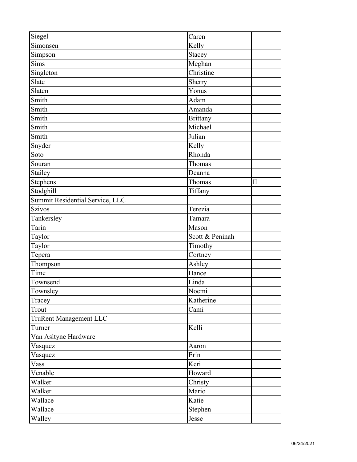| Siegel                          | Caren                |                     |
|---------------------------------|----------------------|---------------------|
| Simonsen                        | Kelly                |                     |
| Simpson                         | Stacey               |                     |
| Sims                            | Meghan               |                     |
| Singleton                       | Christine            |                     |
| Slate                           | Sherry               |                     |
| Slaten                          | Yonus                |                     |
| Smith                           | Adam                 |                     |
| Smith                           | Amanda               |                     |
| Smith                           | <b>Brittany</b>      |                     |
| Smith                           | Michael              |                     |
| Smith                           | Julian               |                     |
| Snyder                          | Kelly                |                     |
| Soto                            | $\overline{R}$ honda |                     |
| Souran                          | Thomas               |                     |
| Stailey                         | Deanna               |                     |
| <b>Stephens</b>                 | Thomas               | $\overline{\rm II}$ |
| Stodghill                       | Tiffany              |                     |
| Summit Residential Service, LLC |                      |                     |
| -<br>Szivos                     | Terezia              |                     |
| Tankersley                      | Tamara               |                     |
| Tarin                           | Mason                |                     |
| Taylor                          | Scott & Peninah      |                     |
| Taylor                          | Timothy              |                     |
| Tepera                          | Cortney              |                     |
| Thompson                        | Ashley               |                     |
| Time                            | Dance                |                     |
| Townsend                        | Linda                |                     |
| Townsley                        | Noemi                |                     |
| Tracey                          | Katherine            |                     |
| Trout                           | Cami                 |                     |
| <b>TruRent Management LLC</b>   |                      |                     |
| Turner                          | Kelli                |                     |
| Van Asltyne Hardware            |                      |                     |
| Vasquez                         | Aaron                |                     |
| Vasquez                         | Erin                 |                     |
| Vass                            | Keri                 |                     |
| Venable                         | Howard               |                     |
| Walker                          | Christy              |                     |
| Walker                          | Mario                |                     |
| Wallace                         | Katie                |                     |
| Wallace                         | Stephen              |                     |
| Walley                          | Jesse                |                     |
|                                 |                      |                     |